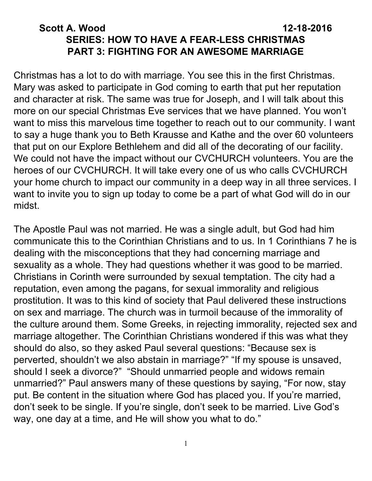# **Scott A. Wood 12-18-2016 SERIES: HOW TO HAVE A FEAR-LESS CHRISTMAS PART 3: FIGHTING FOR AN AWESOME MARRIAGE**

Christmas has a lot to do with marriage. You see this in the first Christmas. Mary was asked to participate in God coming to earth that put her reputation and character at risk. The same was true for Joseph, and I will talk about this more on our special Christmas Eve services that we have planned. You won't want to miss this marvelous time together to reach out to our community. I want to say a huge thank you to Beth Krausse and Kathe and the over 60 volunteers that put on our Explore Bethlehem and did all of the decorating of our facility. We could not have the impact without our CVCHURCH volunteers. You are the heroes of our CVCHURCH. It will take every one of us who calls CVCHURCH your home church to impact our community in a deep way in all three services. I want to invite you to sign up today to come be a part of what God will do in our midst.

The Apostle Paul was not married. He was a single adult, but God had him communicate this to the Corinthian Christians and to us. In 1 Corinthians 7 he is dealing with the misconceptions that they had concerning marriage and sexuality as a whole. They had questions whether it was good to be married. Christians in Corinth were surrounded by sexual temptation. The city had a reputation, even among the pagans, for sexual immorality and religious prostitution. It was to this kind of society that Paul delivered these instructions on sex and marriage. The church was in turmoil because of the immorality of the culture around them. Some Greeks, in rejecting immorality, rejected sex and marriage altogether. The Corinthian Christians wondered if this was what they should do also, so they asked Paul several questions: "Because sex is perverted, shouldn't we also abstain in marriage?" "If my spouse is unsaved, should I seek a divorce?" "Should unmarried people and widows remain unmarried?" Paul answers many of these questions by saying, "For now, stay put. Be content in the situation where God has placed you. If you're married, don't seek to be single. If you're single, don't seek to be married. Live God's way, one day at a time, and He will show you what to do."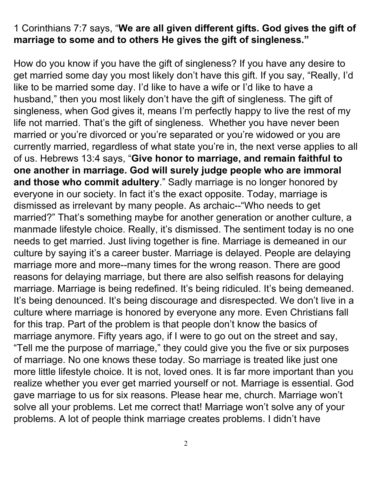## 1 Corinthians 7:7 says, "**We are all given different gifts. God gives the gift of marriage to some and to others He gives the gift of singleness."**

How do you know if you have the gift of singleness? If you have any desire to get married some day you most likely don't have this gift. If you say, "Really, I'd like to be married some day. I'd like to have a wife or I'd like to have a husband," then you most likely don't have the gift of singleness. The gift of singleness, when God gives it, means I'm perfectly happy to live the rest of my life not married. That's the gift of singleness. Whether you have never been married or you're divorced or you're separated or you're widowed or you are currently married, regardless of what state you're in, the next verse applies to all of us. Hebrews 13:4 says, "**Give honor to marriage, and remain faithful to one another in marriage. God will surely judge people who are immoral and those who commit adultery**. " Sadly marriage is no longer honored by everyone in our society. In fact it's the exact opposite. Today, marriage is dismissed as irrelevant by many people. As archaic--"Who needs to get married?" That's something maybe for another generation or another culture, a manmade lifestyle choice. Really, it's dismissed. The sentiment today is no one needs to get married. Just living together is fine. Marriage is demeaned in our culture by saying it's a career buster. Marriage is delayed. People are delaying marriage more and more--many times for the wrong reason. There are good reasons for delaying marriage, but there are also selfish reasons for delaying marriage. Marriage is being redefined. It's being ridiculed. It's being demeaned. It's being denounced. It's being discourage and disrespected. We don't live in a culture where marriage is honored by everyone any more. Even Christians fall for this trap. Part of the problem is that people don't know the basics of marriage anymore. Fifty years ago, if I were to go out on the street and say, "Tell me the purpose of marriage," they could give you the five or six purposes of marriage. No one knows these today. So marriage is treated like just one more little lifestyle choice. It is not, loved ones. It is far more important than you realize whether you ever get married yourself or not. Marriage is essential. God gave marriage to us for six reasons. Please hear me, church. Marriage won't solve all your problems. Let me correct that! Marriage won't solve any of your problems. A lot of people think marriage creates problems. I didn't have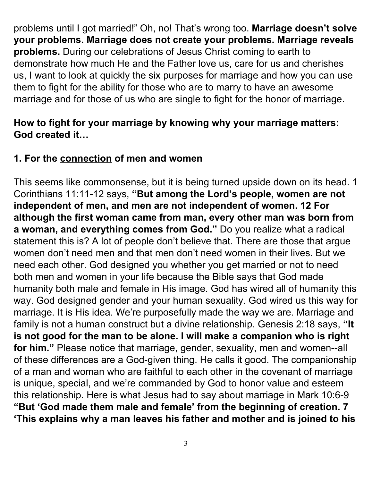problems until I got married!" Oh, no! That's wrong too. **Marriage doesn't solve your problems. Marriage does not create your problems. Marriage reveals problems.** During our celebrations of Jesus Christ coming to earth to demonstrate how much He and the Father love us, care for us and cherishes us, I want to look at quickly the six purposes for marriage and how you can use them to fight for the ability for those who are to marry to have an awesome marriage and for those of us who are single to fight for the honor of marriage.

#### **How to fight for your marriage by knowing why your marriage matters: God created it…**

## **1. For the connection of men and women**

This seems like commonsense, but it is being turned upside down on its head. 1 Corinthians 11:11-12 says, **"But among the Lord's people, women are not independent of men, and men are not independent of women. 12 For although the first woman came from man, every other man was born from a woman, and everything comes from God."** Do you realize what a radical statement this is? A lot of people don't believe that. There are those that argue women don't need men and that men don't need women in their lives. But we need each other. God designed you whether you get married or not to need both men and women in your life because the Bible says that God made humanity both male and female in His image. God has wired all of humanity this way. God designed gender and your human sexuality. God wired us this way for marriage. It is His idea. We're purposefully made the way we are. Marriage and family is not a human construct but a divine relationship. Genesis 2:18 says, **"It is not good for the man to be alone. I will make a companion who is right for him."** Please notice that marriage, gender, sexuality, men and women--all of these differences are a God-given thing. He calls it good. The companionship of a man and woman who are faithful to each other in the covenant of marriage is unique, special, and we're commanded by God to honor value and esteem this relationship. Here is what Jesus had to say about marriage in Mark 10:6-9 **"But 'God made them male and female' from the beginning of creation. 7 'This explains why a man leaves his father and mother and is joined to his**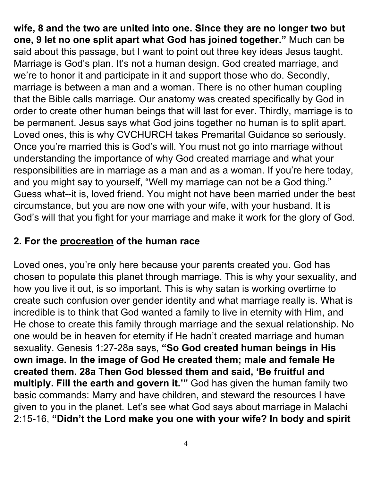**wife, 8 and the two are united into one. Since they are no longer two but one, 9 let no one split apart what God has joined together."** Much can be said about this passage, but I want to point out three key ideas Jesus taught. Marriage is God's plan. It's not a human design. God created marriage, and we're to honor it and participate in it and support those who do. Secondly, marriage is between a man and a woman. There is no other human coupling that the Bible calls marriage. Our anatomy was created specifically by God in order to create other human beings that will last for ever. Thirdly, marriage is to be permanent. Jesus says what God joins together no human is to split apart. Loved ones, this is why CVCHURCH takes Premarital Guidance so seriously. Once you're married this is God's will. You must not go into marriage without understanding the importance of why God created marriage and what your responsibilities are in marriage as a man and as a woman. If you're here today, and you might say to yourself, "Well my marriage can not be a God thing." Guess what--it is, loved friend. You might not have been married under the best circumstance, but you are now one with your wife, with your husband. It is God's will that you fight for your marriage and make it work for the glory of God.

## **2. For the procreation of the human race**

Loved ones, you're only here because your parents created you. God has chosen to populate this planet through marriage. This is why your sexuality, and how you live it out, is so important. This is why satan is working overtime to create such confusion over gender identity and what marriage really is. What is incredible is to think that God wanted a family to live in eternity with Him, and He chose to create this family through marriage and the sexual relationship. No one would be in heaven for eternity if He hadn't created marriage and human sexuality. Genesis 1:27-28a says, **"So God created human beings in His own image. In the image of God He created them; male and female He created them. 28a Then God blessed them and said, 'Be fruitful and multiply. Fill the earth and govern it.'"** God has given the human family two basic commands: Marry and have children, and steward the resources I have given to you in the planet. Let's see what God says about marriage in Malachi 2:15-16, **"Didn't the Lord make you one with your wife? In body and spirit**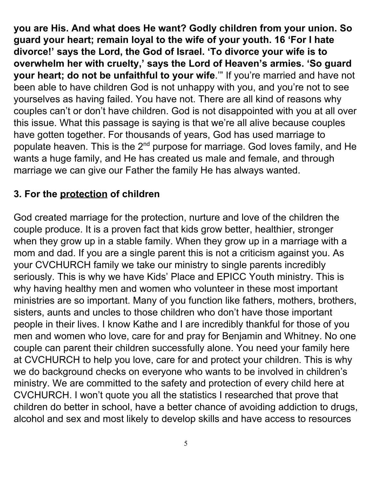**you are His. And what does He want? Godly children from your union. So guard your heart; remain loyal to the wife of your youth. 16 'For I hate divorce!' says the Lord, the God of Israel. 'To divorce your wife is to overwhelm her with cruelty,' says the Lord of Heaven's armies. 'So guard your heart; do not be unfaithful to your wife**.'" If you're married and have not been able to have children God is not unhappy with you, and you're not to see yourselves as having failed. You have not. There are all kind of reasons why couples can't or don't have children. God is not disappointed with you at all over this issue. What this passage is saying is that we're all alive because couples have gotten together. For thousands of years, God has used marriage to populate heaven. This is the 2<sup>nd</sup> purpose for marriage. God loves family, and He wants a huge family, and He has created us male and female, and through marriage we can give our Father the family He has always wanted.

# **3. For the protection of children**

God created marriage for the protection, nurture and love of the children the couple produce. It is a proven fact that kids grow better, healthier, stronger when they grow up in a stable family. When they grow up in a marriage with a mom and dad. If you are a single parent this is not a criticism against you. As your CVCHURCH family we take our ministry to single parents incredibly seriously. This is why we have Kids' Place and EPICC Youth ministry. This is why having healthy men and women who volunteer in these most important ministries are so important. Many of you function like fathers, mothers, brothers, sisters, aunts and uncles to those children who don't have those important people in their lives. I know Kathe and I are incredibly thankful for those of you men and women who love, care for and pray for Benjamin and Whitney. No one couple can parent their children successfully alone. You need your family here at CVCHURCH to help you love, care for and protect your children. This is why we do background checks on everyone who wants to be involved in children's ministry. We are committed to the safety and protection of every child here at CVCHURCH. I won't quote you all the statistics I researched that prove that children do better in school, have a better chance of avoiding addiction to drugs, alcohol and sex and most likely to develop skills and have access to resources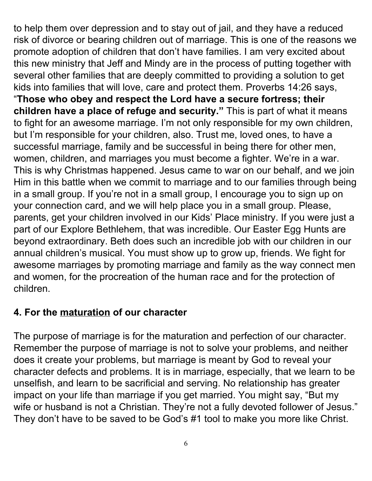to help them over depression and to stay out of jail, and they have a reduced risk of divorce or bearing children out of marriage. This is one of the reasons we promote adoption of children that don't have families. I am very excited about this new ministry that Jeff and Mindy are in the process of putting together with several other families that are deeply committed to providing a solution to get kids into families that will love, care and protect them. Proverbs 14:26 says, "**Those who obey and respect the Lord have a secure fortress; their children have a place of refuge and security."** This is part of what it means to fight for an awesome marriage. I'm not only responsible for my own children, but I'm responsible for your children, also. Trust me, loved ones, to have a successful marriage, family and be successful in being there for other men, women, children, and marriages you must become a fighter. We're in a war. This is why Christmas happened. Jesus came to war on our behalf, and we join Him in this battle when we commit to marriage and to our families through being in a small group. If you're not in a small group, I encourage you to sign up on your connection card, and we will help place you in a small group. Please, parents, get your children involved in our Kids' Place ministry. If you were just a part of our Explore Bethlehem, that was incredible. Our Easter Egg Hunts are beyond extraordinary. Beth does such an incredible job with our children in our annual children's musical. You must show up to grow up, friends. We fight for awesome marriages by promoting marriage and family as the way connect men and women, for the procreation of the human race and for the protection of children.

## **4. For the maturation of our character**

The purpose of marriage is for the maturation and perfection of our character. Remember the purpose of marriage is not to solve your problems, and neither does it create your problems, but marriage is meant by God to reveal your character defects and problems. It is in marriage, especially, that we learn to be unselfish, and learn to be sacrificial and serving. No relationship has greater impact on your life than marriage if you get married. You might say, "But my wife or husband is not a Christian. They're not a fully devoted follower of Jesus." They don't have to be saved to be God's #1 tool to make you more like Christ.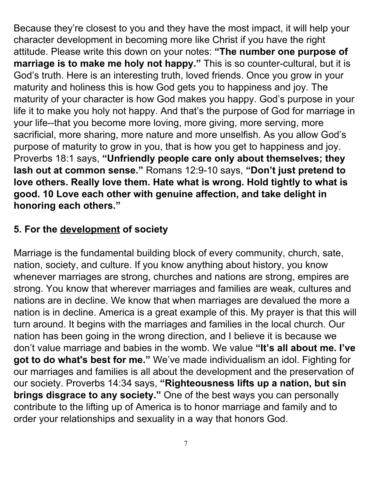Because they're closest to you and they have the most impact, it will help your character development in becoming more like Christ if you have the right attitude. Please write this down on your notes: **"The number one purpose of marriage is to make me holy not happy."** This is so counter-cultural, but it is God's truth. Here is an interesting truth, loved friends. Once you grow in your maturity and holiness this is how God gets you to happiness and joy. The maturity of your character is how God makes you happy. God's purpose in your life it to make you holy not happy. And that's the purpose of God for marriage in your life--that you become more loving, more giving, more serving, more sacrificial, more sharing, more nature and more unselfish. As you allow God's purpose of maturity to grow in you, that is how you get to happiness and joy. Proverbs 18:1 says, **"Unfriendly people care only about themselves; they lash out at common sense."** Romans 12:9-10 says, **"Don't just pretend to love others. Really love them. Hate what is wrong. Hold tightly to what is good. 10 Love each other with genuine affection, and take delight in honoring each others."**

# **5. For the development of society**

Marriage is the fundamental building block of every community, church, sate, nation, society, and culture. If you know anything about history, you know whenever marriages are strong, churches and nations are strong, empires are strong. You know that wherever marriages and families are weak, cultures and nations are in decline. We know that when marriages are devalued the more a nation is in decline. America is a great example of this. My prayer is that this will turn around. It begins with the marriages and families in the local church. Our nation has been going in the wrong direction, and I believe it is because we don't value marriage and babies in the womb. We value **"It's all about me. I've got to do what's best for me."** We've made individualism an idol. Fighting for our marriages and families is all about the development and the preservation of our society. Proverbs 14:34 says, **"Righteousness lifts up a nation, but sin brings disgrace to any society."** One of the best ways you can personally contribute to the lifting up of America is to honor marriage and family and to order your relationships and sexuality in a way that honors God.